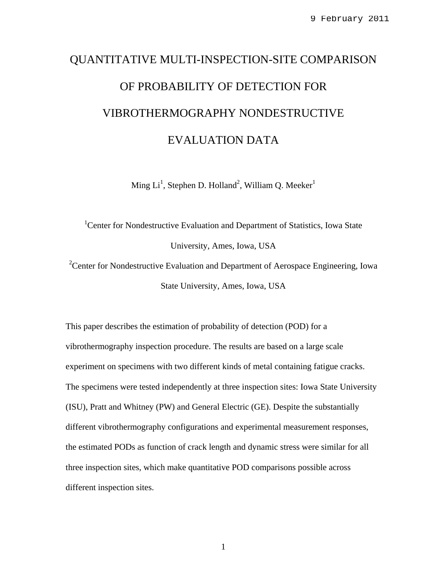# QUANTITATIVE MULTI-INSPECTION-SITE COMPARISON OF PROBABILITY OF DETECTION FOR VIBROTHERMOGRAPHY NONDESTRUCTIVE EVALUATION DATA

Ming Li<sup>1</sup>, Stephen D. Holland<sup>2</sup>, William Q. Meeker<sup>1</sup>

<sup>1</sup>Center for Nondestructive Evaluation and Department of Statistics, Iowa State University, Ames, Iowa, USA

<sup>2</sup> Center for Nondestructive Evaluation and Department of Aerospace Engineering, Iowa State University, Ames, Iowa, USA

This paper describes the estimation of probability of detection (POD) for a vibrothermography inspection procedure. The results are based on a large scale experiment on specimens with two different kinds of metal containing fatigue cracks. The specimens were tested independently at three inspection sites: Iowa State University (ISU), Pratt and Whitney (PW) and General Electric (GE). Despite the substantially different vibrothermography configurations and experimental measurement responses, the estimated PODs as function of crack length and dynamic stress were similar for all three inspection sites, which make quantitative POD comparisons possible across different inspection sites.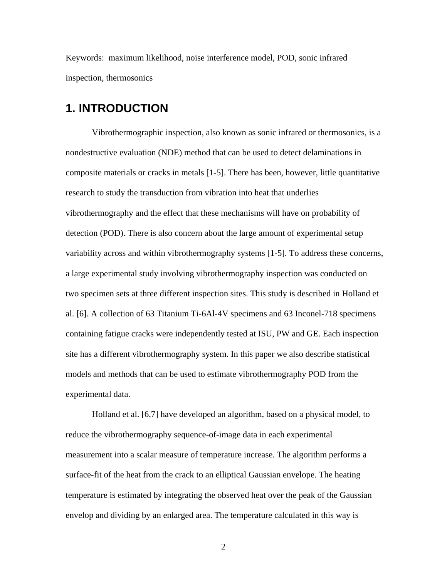Keywords: maximum likelihood, noise interference model, POD, sonic infrared inspection, thermosonics

## **1. INTRODUCTION**

 Vibrothermographic inspection, also known as sonic infrared or thermosonics, is a nondestructive evaluation (NDE) method that can be used to detect delaminations in composite materials or cracks in metals [[1-](#page-19-0)[5\]](#page-20-0). There has been, however, little quantitative research to study the transduction from vibration into heat that underlies vibrothermography and the effect that these mechanisms will have on probability of detection (POD). There is also concern about the large amount of experimental setup variability across and within vibrothermography systems [\[1](#page-19-0)[-5](#page-20-0)]. To address these concerns, a large experimental study involving vibrothermography inspection was conducted on two specimen sets at three different inspection sites. This study is described in Holland et al. [[6\]](#page-20-1). A collection of 63 Titanium Ti-6Al-4V specimens and 63 Inconel-718 specimens containing fatigue cracks were independently tested at ISU, PW and GE. Each inspection site has a different vibrothermography system. In this paper we also describe statistical models and methods that can be used to estimate vibrothermography POD from the experimental data.

 Holland et al. [[6,](#page-20-1)[7\]](#page-20-2) have developed an algorithm, based on a physical model, to reduce the vibrothermography sequence-of-image data in each experimental measurement into a scalar measure of temperature increase. The algorithm performs a surface-fit of the heat from the crack to an elliptical Gaussian envelope. The heating temperature is estimated by integrating the observed heat over the peak of the Gaussian envelop and dividing by an enlarged area. The temperature calculated in this way is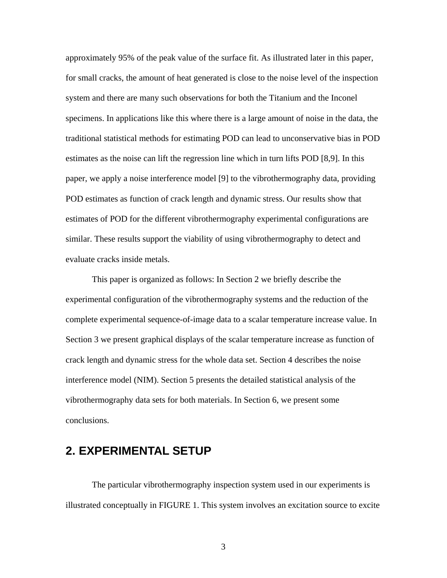approximately 95% of the peak value of the surface fit. As illustrated later in this paper, for small cracks, the amount of heat generated is close to the noise level of the inspection system and there are many such observations for both the Titanium and the Inconel specimens. In applications like this where there is a large amount of noise in the data, the traditional statistical methods for estimating POD can lead to unconservative bias in POD estimates as the noise can lift the regression line which in turn lifts POD [[8,](#page-20-3)[9\]](#page-20-4). In this paper, we apply a noise interference model [\[9](#page-20-4)] to the vibrothermography data, providing POD estimates as function of crack length and dynamic stress. Our results show that estimates of POD for the different vibrothermography experimental configurations are similar. These results support the viability of using vibrothermography to detect and evaluate cracks inside metals.

 This paper is organized as follows: In Section 2 we briefly describe the experimental configuration of the vibrothermography systems and the reduction of the complete experimental sequence-of-image data to a scalar temperature increase value. In Section 3 we present graphical displays of the scalar temperature increase as function of crack length and dynamic stress for the whole data set. Section 4 describes the noise interference model (NIM). Section 5 presents the detailed statistical analysis of the vibrothermography data sets for both materials. In Section 6, we present some conclusions.

## **2. EXPERIMENTAL SETUP**

 The particular vibrothermography inspection system used in our experiments is illustrated conceptually in [FIGURE 1](#page-3-0). This system involves an excitation source to excite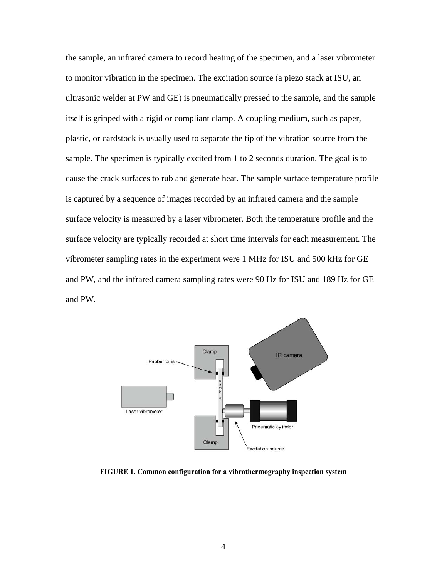the sample, an infrared camera to record heating of the specimen, and a laser vibrometer to monitor vibration in the specimen. The excitation source (a piezo stack at ISU, an ultrasonic welder at PW and GE) is pneumatically pressed to the sample, and the sample itself is gripped with a rigid or compliant clamp. A coupling medium, such as paper, plastic, or cardstock is usually used to separate the tip of the vibration source from the sample. The specimen is typically excited from 1 to 2 seconds duration. The goal is to cause the crack surfaces to rub and generate heat. The sample surface temperature profile is captured by a sequence of images recorded by an infrared camera and the sample surface velocity is measured by a laser vibrometer. Both the temperature profile and the surface velocity are typically recorded at short time intervals for each measurement. The vibrometer sampling rates in the experiment were 1 MHz for ISU and 500 kHz for GE and PW, and the infrared camera sampling rates were 90 Hz for ISU and 189 Hz for GE and PW.



<span id="page-3-0"></span>**FIGURE 1. Common configuration for a vibrothermography inspection system**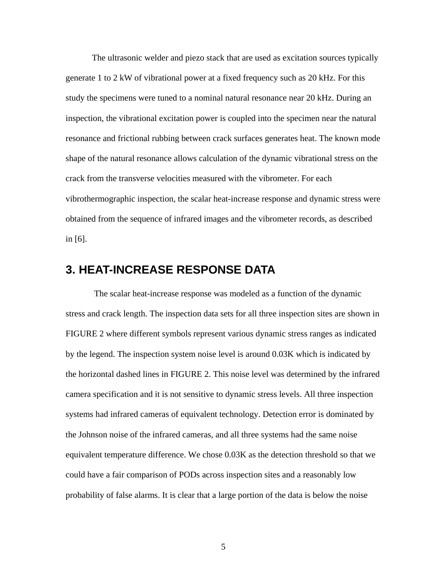The ultrasonic welder and piezo stack that are used as excitation sources typically generate 1 to 2 kW of vibrational power at a fixed frequency such as 20 kHz. For this study the specimens were tuned to a nominal natural resonance near 20 kHz. During an inspection, the vibrational excitation power is coupled into the specimen near the natural resonance and frictional rubbing between crack surfaces generates heat. The known mode shape of the natural resonance allows calculation of the dynamic vibrational stress on the crack from the transverse velocities measured with the vibrometer. For each vibrothermographic inspection, the scalar heat-increase response and dynamic stress were obtained from the sequence of infrared images and the vibrometer records, as described in [\[6](#page-20-1)].

## **3. HEAT-INCREASE RESPONSE DATA**

 The scalar heat-increase response was modeled as a function of the dynamic stress and crack length. The inspection data sets for all three inspection sites are shown in [FIGURE 2](#page-6-0) where different symbols represent various dynamic stress ranges as indicated by the legend. The inspection system noise level is around 0.03K which is indicated by the horizontal dashed lines in FIGURE 2. This noise level was determined by the infrared camera specification and it is not sensitive to dynamic stress levels. All three inspection systems had infrared cameras of equivalent technology. Detection error is dominated by the Johnson noise of the infrared cameras, and all three systems had the same noise equivalent temperature difference. We chose 0.03K as the detection threshold so that we could have a fair comparison of PODs across inspection sites and a reasonably low probability of false alarms. It is clear that a large portion of the data is below the noise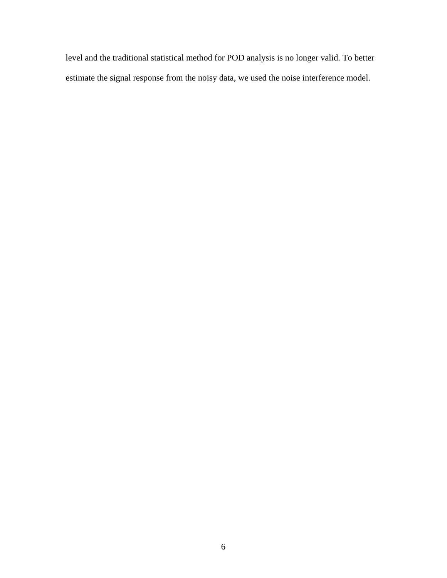level and the traditional statistical method for POD analysis is no longer valid. To better estimate the signal response from the noisy data, we used the noise interference model.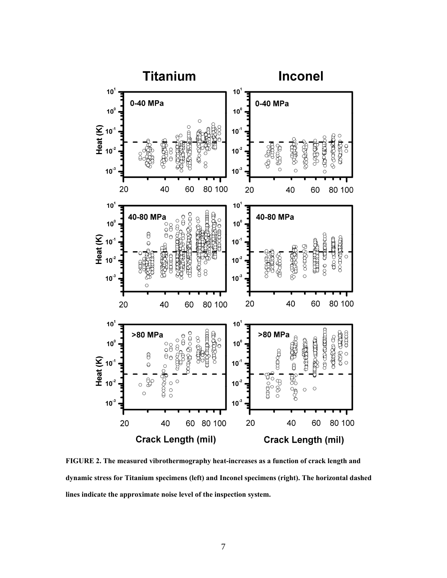

<span id="page-6-0"></span>**FIGURE 2. The measured vibrothermography heat-increases as a function of crack length and dynamic stress for Titanium specimens (left) and Inconel specimens (right). The horizontal dashed lines indicate the approximate noise level of the inspection system.**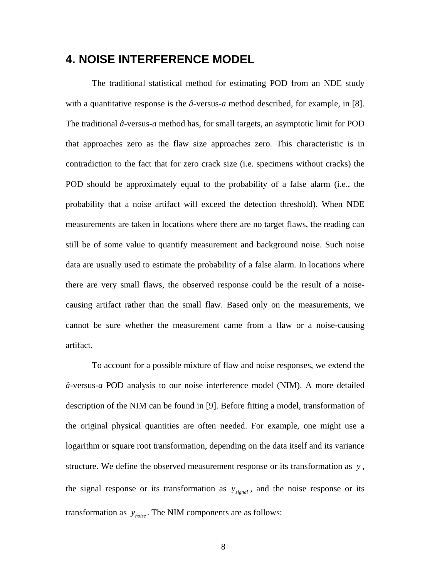# **4. NOISE INTERFERENCE MODEL**

The traditional statistical method for estimating POD from an NDE study with a quantitative response is the *â*-versus-*a* method described, for example, in [\[8](#page-20-3)]. The traditional *â*-versus-*a* method has, for small targets, an asymptotic limit for POD that approaches zero as the flaw size approaches zero. This characteristic is in contradiction to the fact that for zero crack size (i.e. specimens without cracks) the POD should be approximately equal to the probability of a false alarm (i.e., the probability that a noise artifact will exceed the detection threshold). When NDE measurements are taken in locations where there are no target flaws, the reading can still be of some value to quantify measurement and background noise. Such noise data are usually used to estimate the probability of a false alarm. In locations where there are very small flaws, the observed response could be the result of a noisecausing artifact rather than the small flaw. Based only on the measurements, we cannot be sure whether the measurement came from a flaw or a noise-causing artifact.

To account for a possible mixture of flaw and noise responses, we extend the *â*-versus-*a* POD analysis to our noise interference model (NIM). A more detailed description of the NIM can be found in [\[9](#page-20-4)]. Before fitting a model, transformation of the original physical quantities are often needed. For example, one might use a logarithm or square root transformation, depending on the data itself and its variance structure. We define the observed measurement response or its transformation as *y* , the signal response or its transformation as  $y_{\text{signal}}$ , and the noise response or its transformation as  $y_{noise}$ . The NIM components are as follows: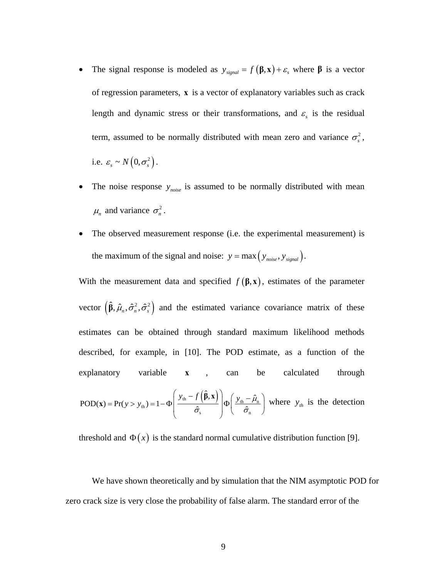- The signal response is modeled as  $y_{signal} = f(\beta, \mathbf{x}) + \varepsilon$ , where  $\beta$  is a vector of regression parameters, **x** is a vector of explanatory variables such as crack length and dynamic stress or their transformations, and  $\varepsilon$ <sub>s</sub> is the residual term, assumed to be normally distributed with mean zero and variance  $\sigma_s^2$ , i.e.  $\varepsilon_s \sim N\left(0, \sigma_s^2\right)$ .
- The noise response  $y_{noise}$  is assumed to be normally distributed with mean  $\mu_n$  and variance  $\sigma_n^2$ .
- The observed measurement response (i.e. the experimental measurement) is the maximum of the signal and noise:  $y = max(y_{noise}, y_{signal}).$

With the measurement data and specified  $f(\beta, x)$ , estimates of the parameter vector  $(\hat{\beta}, \hat{\mu}_n, \hat{\sigma}_n^2, \hat{\sigma}_s^2)$  and the estimated variance covariance matrix of these estimates can be obtained through standard maximum likelihood methods described, for example, in [\[10\]](#page-20-5). The POD estimate, as a function of the explanatory variable **x** , can be calculated through

$$
\text{POD}(\mathbf{x}) = \Pr(y > y_{\text{th}}) = 1 - \Phi\left(\frac{y_{\text{th}} - f\left(\hat{\beta}, \mathbf{x}\right)}{\hat{\sigma}_{\text{s}}}\right) \Phi\left(\frac{y_{\text{th}} - \hat{\mu}_{\text{n}}}{\hat{\sigma}_{\text{n}}}\right) \text{ where } y_{\text{th}} \text{ is the detection}
$$

threshold and  $\Phi(x)$  is the standard normal cumulative distribution function [\[9\]](#page-20-4).

We have shown theoretically and by simulation that the NIM asymptotic POD for zero crack size is very close the probability of false alarm. The standard error of the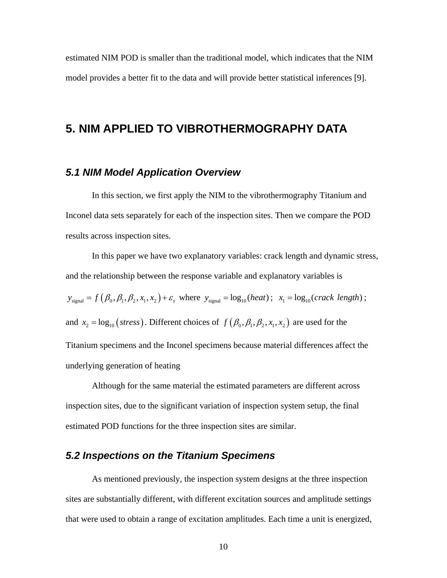estimated NIM POD is smaller than the traditional model, which indicates that the NIM model provides a better fit to the data and will provide better statistical inferences [\[9](#page-20-4)].

## **5. NIM APPLIED TO VIBROTHERMOGRAPHY DATA**

#### *5.1 NIM Model Application Overview*

In this section, we first apply the NIM to the vibrothermography Titanium and Inconel data sets separately for each of the inspection sites. Then we compare the POD results across inspection sites.

In this paper we have two explanatory variables: crack length and dynamic stress, and the relationship between the response variable and explanatory variables is  $y_{signal} = f(\beta_0, \beta_1, \beta_2, x_1, x_2) + \varepsilon$ , where  $y_{signal} = \log_{10}(heat)$ ;  $x_1 = \log_{10}(crack length)$ ; and  $x_2 = \log_{10} (stress)$ . Different choices of  $f(\beta_0, \beta_1, \beta_2, x_1, x_2)$  are used for the Titanium specimens and the Inconel specimens because material differences affect the underlying generation of heating

Although for the same material the estimated parameters are different across inspection sites, due to the significant variation of inspection system setup, the final estimated POD functions for the three inspection sites are similar.

#### *5.2 Inspections on the Titanium Specimens*

 As mentioned previously, the inspection system designs at the three inspection sites are substantially different, with different excitation sources and amplitude settings that were used to obtain a range of excitation amplitudes. Each time a unit is energized,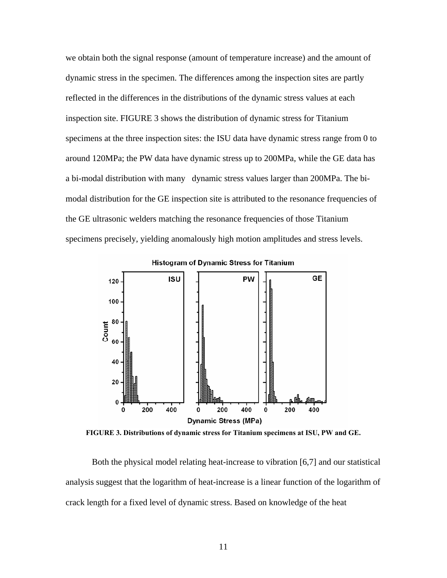we obtain both the signal response (amount of temperature increase) and the amount of dynamic stress in the specimen. The differences among the inspection sites are partly reflected in the differences in the distributions of the dynamic stress values at each inspection site. [FIGURE 3](#page-10-0) shows the distribution of dynamic stress for Titanium specimens at the three inspection sites: the ISU data have dynamic stress range from 0 to around 120MPa; the PW data have dynamic stress up to 200MPa, while the GE data has a bi-modal distribution with many dynamic stress values larger than 200MPa. The bimodal distribution for the GE inspection site is attributed to the resonance frequencies of the GE ultrasonic welders matching the resonance frequencies of those Titanium specimens precisely, yielding anomalously high motion amplitudes and stress levels.



**FIGURE 3. Distributions of dynamic stress for Titanium specimens at ISU, PW and GE.** 

<span id="page-10-0"></span> Both the physical model relating heat-increase to vibration [[6,](#page-20-1)[7\]](#page-20-2) and our statistical analysis suggest that the logarithm of heat-increase is a linear function of the logarithm of crack length for a fixed level of dynamic stress. Based on knowledge of the heat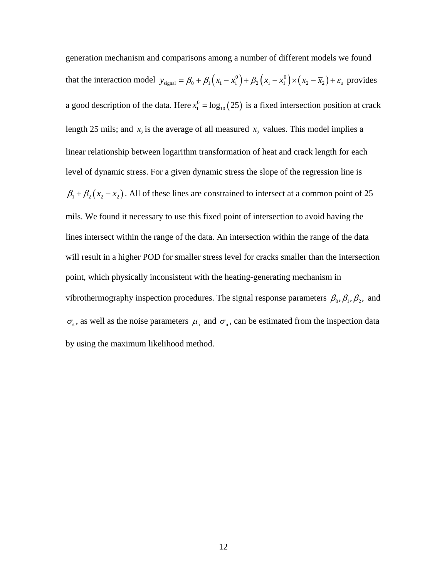generation mechanism and comparisons among a number of different models we found that the interaction model  $y_{signal} = \beta_0 + \beta_1 (x_1 - x_1^0) + \beta_2 (x_1 - x_1^0) \times (x_2 - \overline{x}_2) + \varepsilon_s$  provides a good description of the data. Here  $x_1^0 = \log_{10}(25)$  is a fixed intersection position at crack length 25 mils; and  $\bar{x}_2$  is the average of all measured  $x_2$  values. This model implies a linear relationship between logarithm transformation of heat and crack length for each level of dynamic stress. For a given dynamic stress the slope of the regression line is  $\beta_1 + \beta_2 (x_2 - \overline{x}_2)$ . All of these lines are constrained to intersect at a common point of 25 mils. We found it necessary to use this fixed point of intersection to avoid having the lines intersect within the range of the data. An intersection within the range of the data will result in a higher POD for smaller stress level for cracks smaller than the intersection point, which physically inconsistent with the heating-generating mechanism in vibrothermography inspection procedures. The signal response parameters  $\beta_0$ ,  $\beta_1$ ,  $\beta_2$ , and  $\sigma_s$ , as well as the noise parameters  $\mu_n$  and  $\sigma_n$ , can be estimated from the inspection data by using the maximum likelihood method.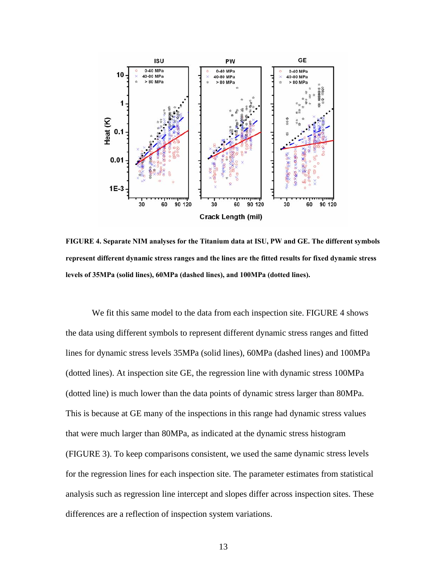

<span id="page-12-0"></span>**FIGURE 4. Separate NIM analyses for the Titanium data at ISU, PW and GE. The different symbols represent different dynamic stress ranges and the lines are the fitted results for fixed dynamic stress levels of 35MPa (solid lines), 60MPa (dashed lines), and 100MPa (dotted lines).** 

We fit this same model to the data from each inspection site. [FIGURE 4](#page-12-0) shows the data using different symbols to represent different dynamic stress ranges and fitted lines for dynamic stress levels 35MPa (solid lines), 60MPa (dashed lines) and 100MPa (dotted lines). At inspection site GE, the regression line with dynamic stress 100MPa (dotted line) is much lower than the data points of dynamic stress larger than 80MPa. This is because at GE many of the inspections in this range had dynamic stress values that were much larger than 80MPa, as indicated at the dynamic stress histogram [\(FIGURE 3](#page-10-0)). To keep comparisons consistent, we used the same dynamic stress levels for the regression lines for each inspection site. The parameter estimates from statistical analysis such as regression line intercept and slopes differ across inspection sites. These differences are a reflection of inspection system variations.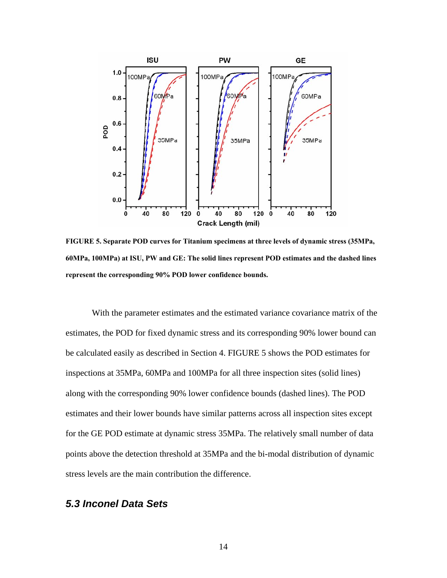

<span id="page-13-0"></span>**FIGURE 5. Separate POD curves for Titanium specimens at three levels of dynamic stress (35MPa, 60MPa, 100MPa) at ISU, PW and GE: The solid lines represent POD estimates and the dashed lines represent the corresponding 90% POD lower confidence bounds.** 

 With the parameter estimates and the estimated variance covariance matrix of the estimates, the POD for fixed dynamic stress and its corresponding 90% lower bound can be calculated easily as described in Section 4. [FIGURE 5](#page-13-0) shows the POD estimates for inspections at 35MPa, 60MPa and 100MPa for all three inspection sites (solid lines) along with the corresponding 90% lower confidence bounds (dashed lines). The POD estimates and their lower bounds have similar patterns across all inspection sites except for the GE POD estimate at dynamic stress 35MPa. The relatively small number of data points above the detection threshold at 35MPa and the bi-modal distribution of dynamic stress levels are the main contribution the difference.

## *5.3 Inconel Data Sets*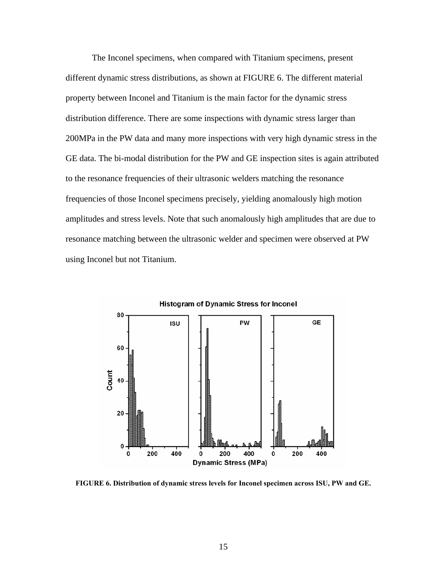The Inconel specimens, when compared with Titanium specimens, present different dynamic stress distributions, as shown at [FIGURE 6.](#page-14-0) The different material property between Inconel and Titanium is the main factor for the dynamic stress distribution difference. There are some inspections with dynamic stress larger than 200MPa in the PW data and many more inspections with very high dynamic stress in the GE data. The bi-modal distribution for the PW and GE inspection sites is again attributed to the resonance frequencies of their ultrasonic welders matching the resonance frequencies of those Inconel specimens precisely, yielding anomalously high motion amplitudes and stress levels. Note that such anomalously high amplitudes that are due to resonance matching between the ultrasonic welder and specimen were observed at PW using Inconel but not Titanium.



<span id="page-14-0"></span>**FIGURE 6. Distribution of dynamic stress levels for Inconel specimen across ISU, PW and GE.**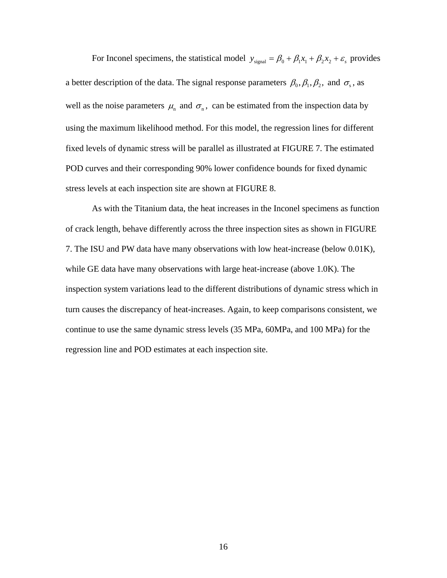For Inconel specimens, the statistical model  $y_{signal} = \beta_0 + \beta_1 x_1 + \beta_2 x_2 + \varepsilon_s$  provides a better description of the data. The signal response parameters  $\beta_0$ ,  $\beta_1$ ,  $\beta_2$ , and  $\sigma_s$ , as well as the noise parameters  $\mu_n$  and  $\sigma_n$ , can be estimated from the inspection data by using the maximum likelihood method. For this model, the regression lines for different fixed levels of dynamic stress will be parallel as illustrated at [FIGURE 7](#page-16-0). The estimated POD curves and their corresponding 90% lower confidence bounds for fixed dynamic stress levels at each inspection site are shown at [FIGURE 8](#page-17-0).

As with the Titanium data, the heat increases in the Inconel specimens as function of crack length, behave differently across the three inspection sites as shown in [FIGURE](#page-16-0)  [7.](#page-16-0) The ISU and PW data have many observations with low heat-increase (below 0.01K), while GE data have many observations with large heat-increase (above 1.0K). The inspection system variations lead to the different distributions of dynamic stress which in turn causes the discrepancy of heat-increases. Again, to keep comparisons consistent, we continue to use the same dynamic stress levels (35 MPa, 60MPa, and 100 MPa) for the regression line and POD estimates at each inspection site.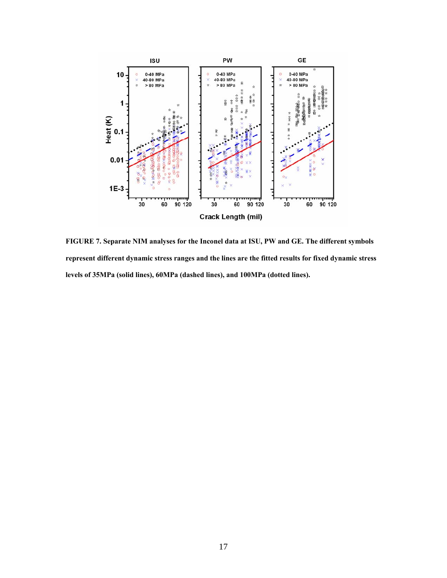

<span id="page-16-0"></span>**FIGURE 7. Separate NIM analyses for the Inconel data at ISU, PW and GE. The different symbols represent different dynamic stress ranges and the lines are the fitted results for fixed dynamic stress levels of 35MPa (solid lines), 60MPa (dashed lines), and 100MPa (dotted lines).**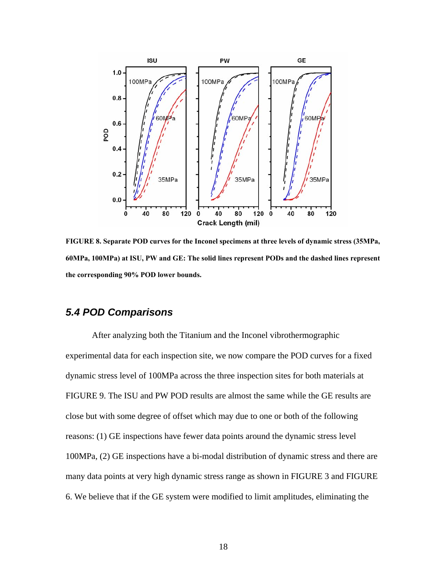

<span id="page-17-0"></span>**FIGURE 8. Separate POD curves for the Inconel specimens at three levels of dynamic stress (35MPa, 60MPa, 100MPa) at ISU, PW and GE: The solid lines represent PODs and the dashed lines represent the corresponding 90% POD lower bounds.** 

### *5.4 POD Comparisons*

 After analyzing both the Titanium and the Inconel vibrothermographic experimental data for each inspection site, we now compare the POD curves for a fixed dynamic stress level of 100MPa across the three inspection sites for both materials at [FIGURE 9](#page-18-0). The ISU and PW POD results are almost the same while the GE results are close but with some degree of offset which may due to one or both of the following reasons: (1) GE inspections have fewer data points around the dynamic stress level 100MPa, (2) GE inspections have a bi-modal distribution of dynamic stress and there are many data points at very high dynamic stress range as shown in [FIGURE 3](#page-10-0) and [FIGURE](#page-14-0)  [6.](#page-14-0) We believe that if the GE system were modified to limit amplitudes, eliminating the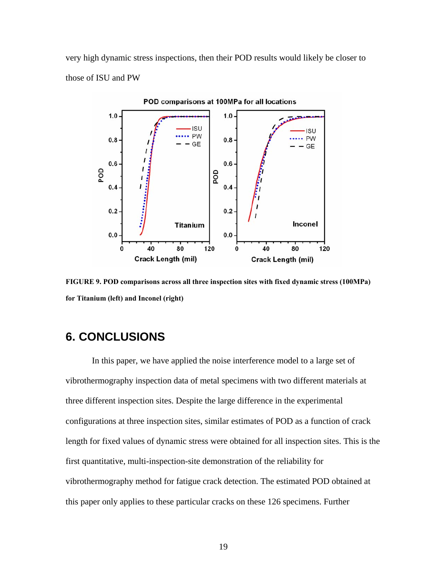very high dynamic stress inspections, then their POD results would likely be closer to those of ISU and PW



<span id="page-18-0"></span>**FIGURE 9. POD comparisons across all three inspection sites with fixed dynamic stress (100MPa) for Titanium (left) and Inconel (right)** 

## **6. CONCLUSIONS**

 In this paper, we have applied the noise interference model to a large set of vibrothermography inspection data of metal specimens with two different materials at three different inspection sites. Despite the large difference in the experimental configurations at three inspection sites, similar estimates of POD as a function of crack length for fixed values of dynamic stress were obtained for all inspection sites. This is the first quantitative, multi-inspection-site demonstration of the reliability for vibrothermography method for fatigue crack detection. The estimated POD obtained at this paper only applies to these particular cracks on these 126 specimens. Further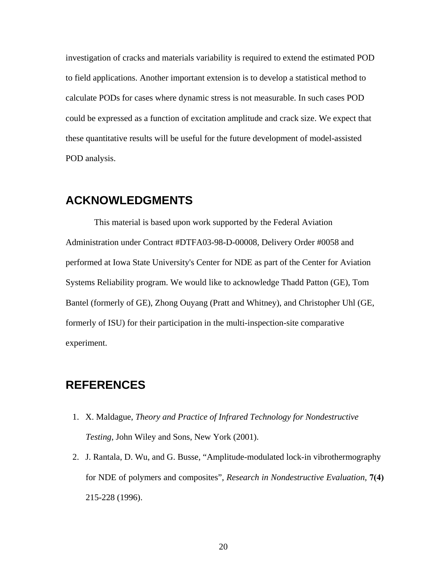investigation of cracks and materials variability is required to extend the estimated POD to field applications. Another important extension is to develop a statistical method to calculate PODs for cases where dynamic stress is not measurable. In such cases POD could be expressed as a function of excitation amplitude and crack size. We expect that these quantitative results will be useful for the future development of model-assisted POD analysis.

## **ACKNOWLEDGMENTS**

 This material is based upon work supported by the Federal Aviation Administration under Contract #DTFA03-98-D-00008, Delivery Order #0058 and performed at Iowa State University's Center for NDE as part of the Center for Aviation Systems Reliability program. We would like to acknowledge Thadd Patton (GE), Tom Bantel (formerly of GE), Zhong Ouyang (Pratt and Whitney), and Christopher Uhl (GE, formerly of ISU) for their participation in the multi-inspection-site comparative experiment.

## <span id="page-19-0"></span>**REFERENCES**

- 1. X. Maldague, *Theory and Practice of Infrared Technology for Nondestructive Testing*, John Wiley and Sons, New York (2001).
- 2. J. Rantala, D. Wu, and G. Busse, "Amplitude-modulated lock-in vibrothermography for NDE of polymers and composites", *Research in Nondestructive Evaluation*, **7(4)** 215-228 (1996).